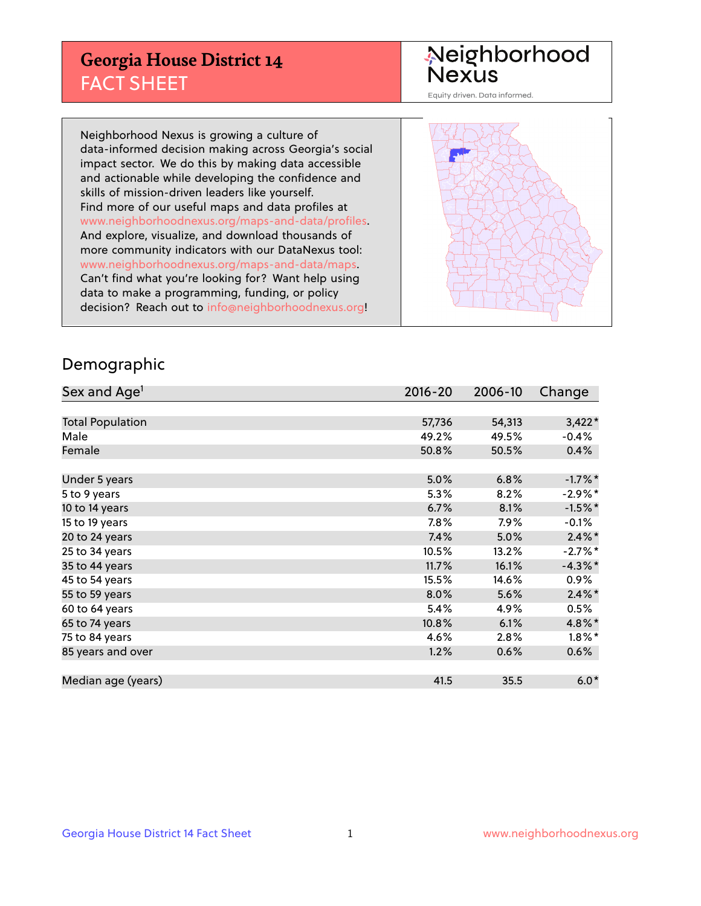## **Georgia House District 14** FACT SHEET

# Neighborhood<br>Nexus

Equity driven. Data informed.

Neighborhood Nexus is growing a culture of data-informed decision making across Georgia's social impact sector. We do this by making data accessible and actionable while developing the confidence and skills of mission-driven leaders like yourself. Find more of our useful maps and data profiles at www.neighborhoodnexus.org/maps-and-data/profiles. And explore, visualize, and download thousands of more community indicators with our DataNexus tool: www.neighborhoodnexus.org/maps-and-data/maps. Can't find what you're looking for? Want help using data to make a programming, funding, or policy decision? Reach out to [info@neighborhoodnexus.org!](mailto:info@neighborhoodnexus.org)



#### Demographic

| Sex and Age <sup>1</sup> | $2016 - 20$ | 2006-10 | Change     |
|--------------------------|-------------|---------|------------|
|                          |             |         |            |
| <b>Total Population</b>  | 57,736      | 54,313  | $3,422*$   |
| Male                     | 49.2%       | 49.5%   | $-0.4%$    |
| Female                   | 50.8%       | 50.5%   | 0.4%       |
|                          |             |         |            |
| Under 5 years            | 5.0%        | 6.8%    | $-1.7%$ *  |
| 5 to 9 years             | 5.3%        | 8.2%    | $-2.9%$ *  |
| 10 to 14 years           | 6.7%        | 8.1%    | $-1.5%$ *  |
| 15 to 19 years           | 7.8%        | 7.9%    | $-0.1%$    |
| 20 to 24 years           | 7.4%        | 5.0%    | $2.4\%$ *  |
| 25 to 34 years           | 10.5%       | 13.2%   | $-2.7%$ *  |
| 35 to 44 years           | 11.7%       | 16.1%   | $-4.3\%$ * |
| 45 to 54 years           | 15.5%       | 14.6%   | 0.9%       |
| 55 to 59 years           | 8.0%        | 5.6%    | $2.4\%$ *  |
| 60 to 64 years           | 5.4%        | 4.9%    | 0.5%       |
| 65 to 74 years           | 10.8%       | 6.1%    | 4.8%*      |
| 75 to 84 years           | 4.6%        | 2.8%    | $1.8\%$ *  |
| 85 years and over        | 1.2%        | 0.6%    | 0.6%       |
|                          |             |         |            |
| Median age (years)       | 41.5        | 35.5    | $6.0*$     |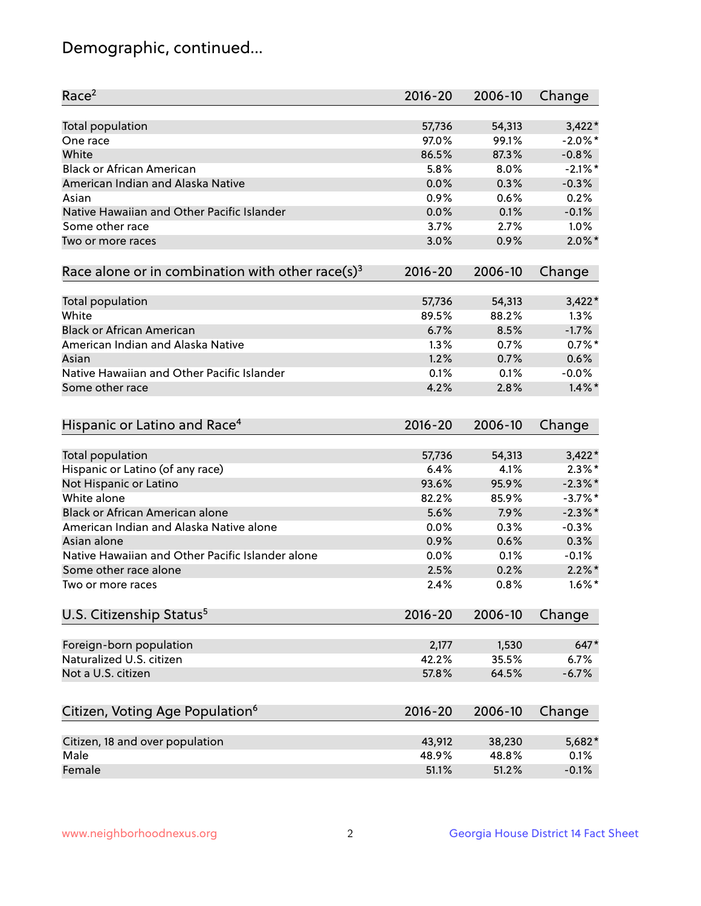## Demographic, continued...

| Race <sup>2</sup>                                            | $2016 - 20$ | 2006-10 | Change     |
|--------------------------------------------------------------|-------------|---------|------------|
| <b>Total population</b>                                      | 57,736      | 54,313  | $3,422*$   |
| One race                                                     | 97.0%       | 99.1%   | $-2.0\%$ * |
| White                                                        | 86.5%       | 87.3%   | $-0.8%$    |
| <b>Black or African American</b>                             | 5.8%        | 8.0%    | $-2.1\%$ * |
| American Indian and Alaska Native                            | 0.0%        | 0.3%    | $-0.3%$    |
| Asian                                                        | 0.9%        | 0.6%    | 0.2%       |
| Native Hawaiian and Other Pacific Islander                   | 0.0%        | 0.1%    | $-0.1%$    |
| Some other race                                              | 3.7%        | 2.7%    | 1.0%       |
| Two or more races                                            | 3.0%        | 0.9%    | $2.0\%$ *  |
| Race alone or in combination with other race(s) <sup>3</sup> | $2016 - 20$ | 2006-10 | Change     |
| Total population                                             | 57,736      | 54,313  | $3,422*$   |
| White                                                        | 89.5%       | 88.2%   | $1.3\%$    |
| <b>Black or African American</b>                             | 6.7%        | 8.5%    | $-1.7%$    |
| American Indian and Alaska Native                            | 1.3%        | 0.7%    | $0.7%$ *   |
| Asian                                                        | 1.2%        | 0.7%    | 0.6%       |
| Native Hawaiian and Other Pacific Islander                   | 0.1%        | 0.1%    | $-0.0%$    |
| Some other race                                              | 4.2%        | 2.8%    | $1.4\%$ *  |
| Hispanic or Latino and Race <sup>4</sup>                     | $2016 - 20$ | 2006-10 | Change     |
| <b>Total population</b>                                      | 57,736      | 54,313  | $3,422*$   |
| Hispanic or Latino (of any race)                             | 6.4%        | 4.1%    | $2.3\%$ *  |
| Not Hispanic or Latino                                       | 93.6%       | 95.9%   | $-2.3\%$ * |
| White alone                                                  | 82.2%       | 85.9%   | $-3.7\%$ * |
| <b>Black or African American alone</b>                       | 5.6%        | 7.9%    | $-2.3\%$ * |
| American Indian and Alaska Native alone                      | 0.0%        | 0.3%    | $-0.3%$    |
| Asian alone                                                  | 0.9%        | 0.6%    | 0.3%       |
| Native Hawaiian and Other Pacific Islander alone             | 0.0%        | 0.1%    | $-0.1%$    |
| Some other race alone                                        | 2.5%        | 0.2%    | $2.2\%$ *  |
| Two or more races                                            | 2.4%        | 0.8%    | $1.6\%$ *  |
| U.S. Citizenship Status <sup>5</sup>                         | $2016 - 20$ | 2006-10 | Change     |
| Foreign-born population                                      | 2,177       | 1,530   | 647*       |
| Naturalized U.S. citizen                                     | 42.2%       | 35.5%   | 6.7%       |
| Not a U.S. citizen                                           | 57.8%       | 64.5%   | $-6.7%$    |
|                                                              |             |         |            |
| Citizen, Voting Age Population <sup>6</sup>                  | $2016 - 20$ | 2006-10 | Change     |
| Citizen, 18 and over population                              | 43,912      | 38,230  | 5,682*     |
| Male                                                         | 48.9%       | 48.8%   | 0.1%       |
| Female                                                       | 51.1%       | 51.2%   | $-0.1%$    |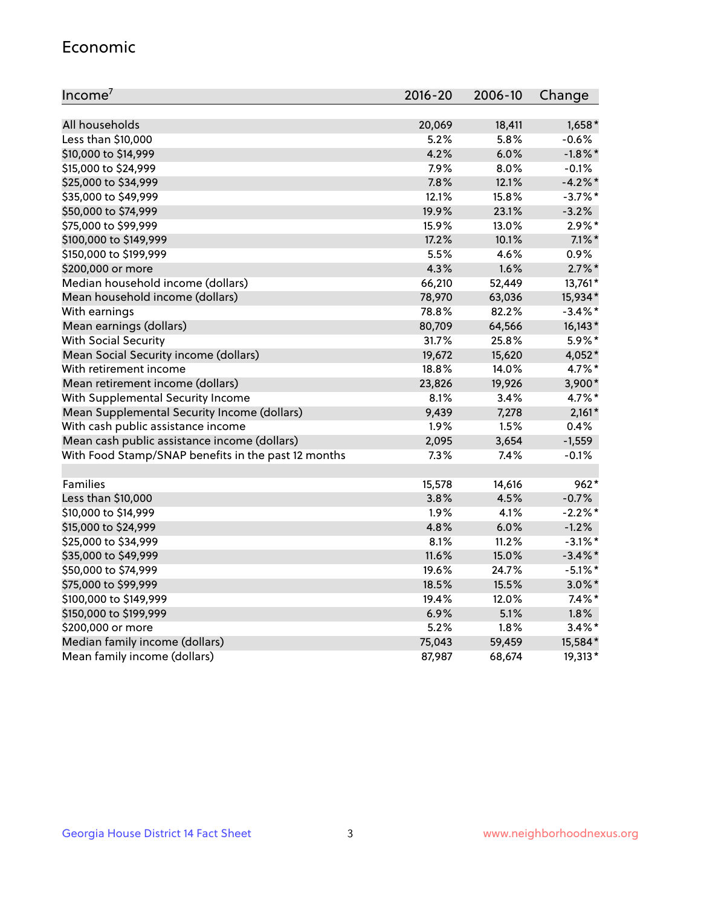#### Economic

| Income <sup>7</sup>                                 | $2016 - 20$ | 2006-10 | Change     |
|-----------------------------------------------------|-------------|---------|------------|
|                                                     |             |         |            |
| All households                                      | 20,069      | 18,411  | $1,658*$   |
| Less than \$10,000                                  | 5.2%        | 5.8%    | $-0.6%$    |
| \$10,000 to \$14,999                                | 4.2%        | 6.0%    | $-1.8\%$ * |
| \$15,000 to \$24,999                                | 7.9%        | 8.0%    | $-0.1%$    |
| \$25,000 to \$34,999                                | 7.8%        | 12.1%   | $-4.2%$    |
| \$35,000 to \$49,999                                | 12.1%       | 15.8%   | $-3.7\%$ * |
| \$50,000 to \$74,999                                | 19.9%       | 23.1%   | $-3.2%$    |
| \$75,000 to \$99,999                                | 15.9%       | 13.0%   | $2.9\%$ *  |
| \$100,000 to \$149,999                              | 17.2%       | 10.1%   | $7.1\%$ *  |
| \$150,000 to \$199,999                              | 5.5%        | 4.6%    | $0.9\%$    |
| \$200,000 or more                                   | 4.3%        | 1.6%    | $2.7\%$ *  |
| Median household income (dollars)                   | 66,210      | 52,449  | 13,761*    |
| Mean household income (dollars)                     | 78,970      | 63,036  | 15,934*    |
| With earnings                                       | 78.8%       | 82.2%   | $-3.4\%$ * |
| Mean earnings (dollars)                             | 80,709      | 64,566  | 16,143*    |
| <b>With Social Security</b>                         | 31.7%       | 25.8%   | 5.9%*      |
| Mean Social Security income (dollars)               | 19,672      | 15,620  | 4,052*     |
| With retirement income                              | 18.8%       | 14.0%   | 4.7%*      |
| Mean retirement income (dollars)                    | 23,826      | 19,926  | 3,900*     |
| With Supplemental Security Income                   | 8.1%        | 3.4%    | 4.7%*      |
| Mean Supplemental Security Income (dollars)         | 9,439       | 7,278   | $2,161*$   |
| With cash public assistance income                  | 1.9%        | 1.5%    | 0.4%       |
| Mean cash public assistance income (dollars)        | 2,095       | 3,654   | $-1,559$   |
| With Food Stamp/SNAP benefits in the past 12 months | 7.3%        | 7.4%    | $-0.1%$    |
|                                                     |             |         |            |
| Families                                            | 15,578      | 14,616  | $962*$     |
| Less than \$10,000                                  | 3.8%        | 4.5%    | $-0.7%$    |
| \$10,000 to \$14,999                                | 1.9%        | 4.1%    | $-2.2%$ *  |
| \$15,000 to \$24,999                                | 4.8%        | 6.0%    | $-1.2%$    |
| \$25,000 to \$34,999                                | 8.1%        | 11.2%   | $-3.1\%$ * |
| \$35,000 to \$49,999                                | 11.6%       | 15.0%   | $-3.4\%$ * |
| \$50,000 to \$74,999                                | 19.6%       | 24.7%   | $-5.1\%$ * |
| \$75,000 to \$99,999                                | 18.5%       | 15.5%   | $3.0\%$ *  |
| \$100,000 to \$149,999                              | 19.4%       | 12.0%   | $7.4\%$ *  |
| \$150,000 to \$199,999                              | 6.9%        | 5.1%    | 1.8%       |
| \$200,000 or more                                   | 5.2%        | 1.8%    | $3.4\%$ *  |
| Median family income (dollars)                      | 75,043      | 59,459  | 15,584*    |
| Mean family income (dollars)                        | 87,987      | 68,674  | 19,313*    |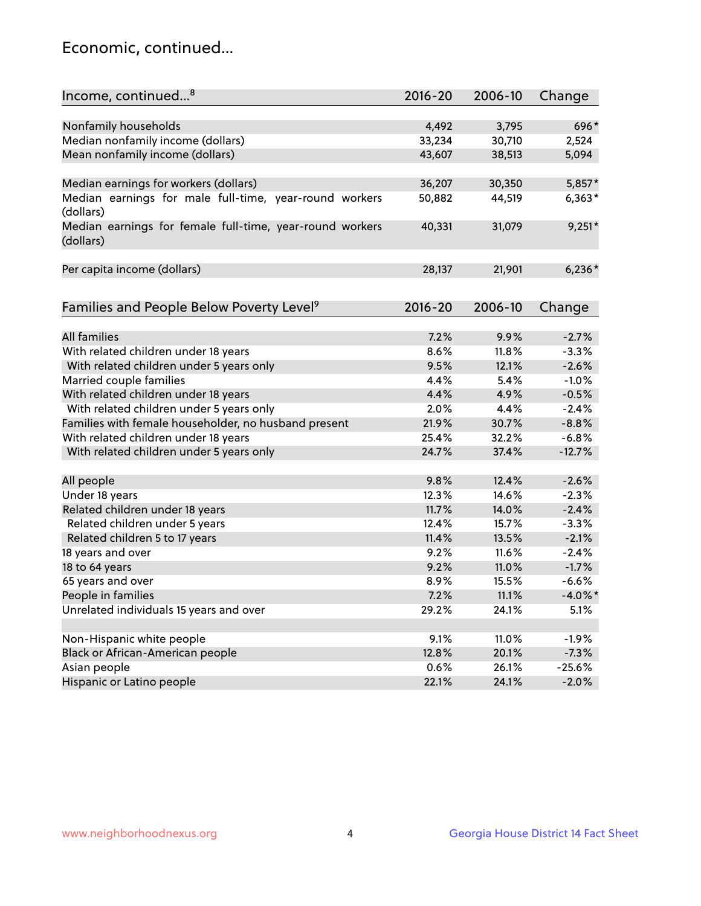## Economic, continued...

| Income, continued <sup>8</sup>                                        | $2016 - 20$ | 2006-10 | Change     |
|-----------------------------------------------------------------------|-------------|---------|------------|
|                                                                       |             |         |            |
| Nonfamily households                                                  | 4,492       | 3,795   | 696*       |
| Median nonfamily income (dollars)                                     | 33,234      | 30,710  | 2,524      |
| Mean nonfamily income (dollars)                                       | 43,607      | 38,513  | 5,094      |
| Median earnings for workers (dollars)                                 | 36,207      | 30,350  | 5,857*     |
| Median earnings for male full-time, year-round workers                | 50,882      | 44,519  | $6,363*$   |
| (dollars)                                                             |             |         |            |
| Median earnings for female full-time, year-round workers<br>(dollars) | 40,331      | 31,079  | $9,251*$   |
| Per capita income (dollars)                                           | 28,137      | 21,901  | $6,236*$   |
|                                                                       |             |         |            |
| Families and People Below Poverty Level <sup>9</sup>                  | $2016 - 20$ | 2006-10 | Change     |
|                                                                       |             |         |            |
| <b>All families</b>                                                   | 7.2%        | 9.9%    | $-2.7%$    |
| With related children under 18 years                                  | 8.6%        | 11.8%   | $-3.3%$    |
| With related children under 5 years only                              | 9.5%        | 12.1%   | $-2.6%$    |
| Married couple families                                               | 4.4%        | 5.4%    | $-1.0%$    |
| With related children under 18 years                                  | 4.4%        | 4.9%    | $-0.5%$    |
| With related children under 5 years only                              | 2.0%        | 4.4%    | $-2.4%$    |
| Families with female householder, no husband present                  | 21.9%       | 30.7%   | $-8.8%$    |
| With related children under 18 years                                  | 25.4%       | 32.2%   | $-6.8%$    |
| With related children under 5 years only                              | 24.7%       | 37.4%   | $-12.7%$   |
| All people                                                            | 9.8%        | 12.4%   | $-2.6%$    |
| Under 18 years                                                        | 12.3%       | 14.6%   | $-2.3%$    |
| Related children under 18 years                                       | 11.7%       | 14.0%   | $-2.4%$    |
| Related children under 5 years                                        | 12.4%       | 15.7%   | $-3.3%$    |
| Related children 5 to 17 years                                        | 11.4%       | 13.5%   | $-2.1%$    |
| 18 years and over                                                     | 9.2%        | 11.6%   | $-2.4%$    |
| 18 to 64 years                                                        | 9.2%        | 11.0%   | $-1.7%$    |
| 65 years and over                                                     | 8.9%        | 15.5%   | $-6.6%$    |
| People in families                                                    | 7.2%        | 11.1%   | $-4.0\%$ * |
| Unrelated individuals 15 years and over                               | 29.2%       | 24.1%   | 5.1%       |
|                                                                       |             |         |            |
| Non-Hispanic white people                                             | 9.1%        | 11.0%   | $-1.9%$    |
| Black or African-American people                                      | 12.8%       | 20.1%   | $-7.3%$    |
| Asian people                                                          | 0.6%        | 26.1%   | $-25.6%$   |
| Hispanic or Latino people                                             | 22.1%       | 24.1%   | $-2.0%$    |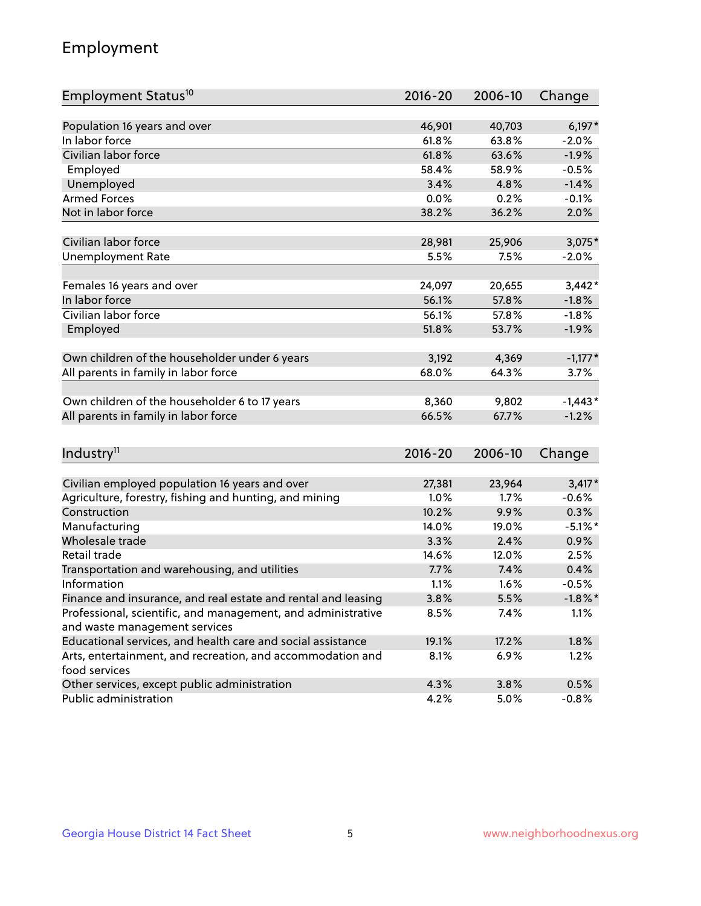## Employment

| Employment Status <sup>10</sup>                                                               | $2016 - 20$ | 2006-10 | Change     |
|-----------------------------------------------------------------------------------------------|-------------|---------|------------|
|                                                                                               |             |         |            |
| Population 16 years and over                                                                  | 46,901      | 40,703  | $6,197*$   |
| In labor force                                                                                | 61.8%       | 63.8%   | $-2.0%$    |
| Civilian labor force                                                                          | 61.8%       | 63.6%   | $-1.9%$    |
| Employed                                                                                      | 58.4%       | 58.9%   | $-0.5%$    |
| Unemployed                                                                                    | 3.4%        | 4.8%    | $-1.4%$    |
| <b>Armed Forces</b>                                                                           | 0.0%        | 0.2%    | $-0.1%$    |
| Not in labor force                                                                            | 38.2%       | 36.2%   | 2.0%       |
|                                                                                               |             |         |            |
| Civilian labor force                                                                          | 28,981      | 25,906  | $3,075*$   |
| <b>Unemployment Rate</b>                                                                      | 5.5%        | 7.5%    | $-2.0%$    |
| Females 16 years and over                                                                     | 24,097      | 20,655  | $3,442*$   |
| In labor force                                                                                | 56.1%       | 57.8%   | $-1.8%$    |
| Civilian labor force                                                                          | 56.1%       | 57.8%   | $-1.8%$    |
| Employed                                                                                      | 51.8%       | 53.7%   | $-1.9%$    |
|                                                                                               |             |         |            |
| Own children of the householder under 6 years                                                 | 3,192       | 4,369   | $-1,177*$  |
| All parents in family in labor force                                                          | 68.0%       | 64.3%   | 3.7%       |
|                                                                                               |             |         |            |
| Own children of the householder 6 to 17 years                                                 | 8,360       | 9,802   | $-1,443*$  |
| All parents in family in labor force                                                          | 66.5%       | 67.7%   | $-1.2%$    |
|                                                                                               |             |         |            |
| Industry <sup>11</sup>                                                                        | $2016 - 20$ | 2006-10 | Change     |
|                                                                                               |             |         |            |
| Civilian employed population 16 years and over                                                | 27,381      | 23,964  | $3,417*$   |
| Agriculture, forestry, fishing and hunting, and mining                                        | 1.0%        | 1.7%    | $-0.6%$    |
| Construction                                                                                  | 10.2%       | 9.9%    | 0.3%       |
| Manufacturing                                                                                 | 14.0%       | 19.0%   | $-5.1\%$ * |
| Wholesale trade                                                                               | 3.3%        | 2.4%    | 0.9%       |
| Retail trade                                                                                  | 14.6%       | 12.0%   | 2.5%       |
| Transportation and warehousing, and utilities                                                 | 7.7%        | 7.4%    | 0.4%       |
| Information                                                                                   | 1.1%        | 1.6%    | $-0.5%$    |
| Finance and insurance, and real estate and rental and leasing                                 | 3.8%        | 5.5%    | $-1.8\%$ * |
| Professional, scientific, and management, and administrative<br>and waste management services | 8.5%        | 7.4%    | 1.1%       |
| Educational services, and health care and social assistance                                   | 19.1%       | 17.2%   | 1.8%       |
|                                                                                               | 8.1%        | 6.9%    |            |
| Arts, entertainment, and recreation, and accommodation and<br>food services                   |             |         | 1.2%       |
| Other services, except public administration                                                  | 4.3%        | 3.8%    | 0.5%       |
| Public administration                                                                         | 4.2%        | 5.0%    | $-0.8%$    |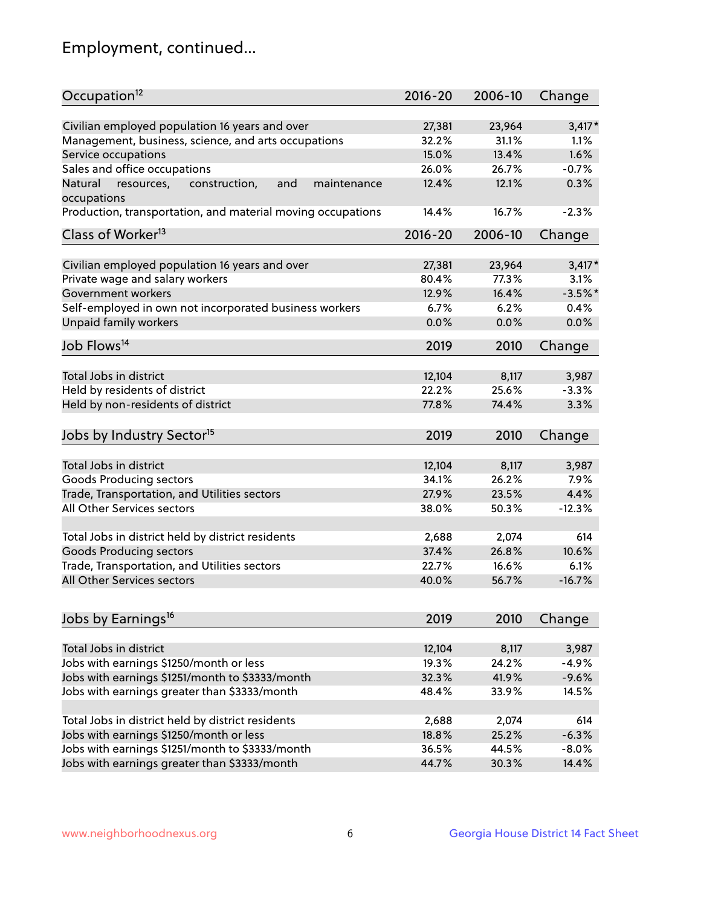## Employment, continued...

| Occupation <sup>12</sup>                                     | $2016 - 20$ | 2006-10 | Change    |
|--------------------------------------------------------------|-------------|---------|-----------|
| Civilian employed population 16 years and over               | 27,381      | 23,964  | $3,417*$  |
| Management, business, science, and arts occupations          | 32.2%       | 31.1%   | 1.1%      |
| Service occupations                                          | 15.0%       | 13.4%   | 1.6%      |
| Sales and office occupations                                 | 26.0%       | 26.7%   | $-0.7%$   |
| Natural<br>and<br>resources,<br>construction,<br>maintenance | 12.4%       | 12.1%   | 0.3%      |
| occupations                                                  |             |         |           |
| Production, transportation, and material moving occupations  | 14.4%       | 16.7%   | $-2.3%$   |
| Class of Worker <sup>13</sup>                                | $2016 - 20$ | 2006-10 | Change    |
| Civilian employed population 16 years and over               | 27,381      | 23,964  | $3,417*$  |
| Private wage and salary workers                              | 80.4%       | 77.3%   | 3.1%      |
| Government workers                                           | 12.9%       | 16.4%   | $-3.5%$ * |
| Self-employed in own not incorporated business workers       | 6.7%        | 6.2%    | 0.4%      |
| Unpaid family workers                                        | 0.0%        | 0.0%    | 0.0%      |
|                                                              |             |         |           |
| Job Flows <sup>14</sup>                                      | 2019        | 2010    | Change    |
| Total Jobs in district                                       | 12,104      | 8,117   | 3,987     |
| Held by residents of district                                | 22.2%       | 25.6%   | $-3.3%$   |
| Held by non-residents of district                            | 77.8%       | 74.4%   | 3.3%      |
|                                                              |             |         |           |
| Jobs by Industry Sector <sup>15</sup>                        | 2019        | 2010    | Change    |
| Total Jobs in district                                       | 12,104      | 8,117   | 3,987     |
| Goods Producing sectors                                      | 34.1%       | 26.2%   | 7.9%      |
| Trade, Transportation, and Utilities sectors                 | 27.9%       | 23.5%   | 4.4%      |
| All Other Services sectors                                   | 38.0%       | 50.3%   | $-12.3%$  |
|                                                              |             |         |           |
| Total Jobs in district held by district residents            | 2,688       | 2,074   | 614       |
| <b>Goods Producing sectors</b>                               | 37.4%       | 26.8%   | 10.6%     |
| Trade, Transportation, and Utilities sectors                 | 22.7%       | 16.6%   | 6.1%      |
| All Other Services sectors                                   | 40.0%       | 56.7%   | $-16.7%$  |
|                                                              |             |         |           |
| Jobs by Earnings <sup>16</sup>                               | 2019        | 2010    | Change    |
| Total Jobs in district                                       | 12,104      | 8,117   | 3,987     |
| Jobs with earnings \$1250/month or less                      | 19.3%       | 24.2%   | $-4.9%$   |
| Jobs with earnings \$1251/month to \$3333/month              | 32.3%       | 41.9%   | $-9.6%$   |
|                                                              |             |         |           |
| Jobs with earnings greater than \$3333/month                 | 48.4%       | 33.9%   | 14.5%     |
| Total Jobs in district held by district residents            | 2,688       | 2,074   | 614       |
| Jobs with earnings \$1250/month or less                      | 18.8%       | 25.2%   | $-6.3%$   |
| Jobs with earnings \$1251/month to \$3333/month              | 36.5%       | 44.5%   | $-8.0%$   |
| Jobs with earnings greater than \$3333/month                 | 44.7%       | 30.3%   | 14.4%     |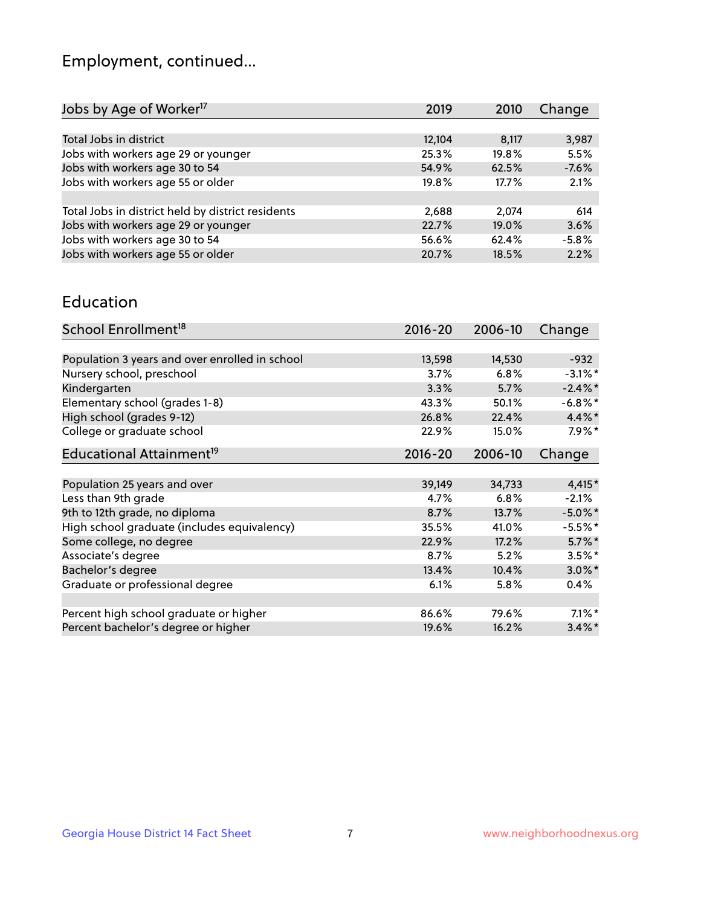## Employment, continued...

| Jobs by Age of Worker <sup>17</sup>               | 2019   | 2010     | Change  |
|---------------------------------------------------|--------|----------|---------|
|                                                   |        |          |         |
| Total Jobs in district                            | 12,104 | 8,117    | 3,987   |
| Jobs with workers age 29 or younger               | 25.3%  | 19.8%    | 5.5%    |
| Jobs with workers age 30 to 54                    | 54.9%  | 62.5%    | $-7.6%$ |
| Jobs with workers age 55 or older                 | 19.8%  | 17.7%    | 2.1%    |
|                                                   |        |          |         |
| Total Jobs in district held by district residents | 2,688  | 2.074    | 614     |
| Jobs with workers age 29 or younger               | 22.7%  | $19.0\%$ | 3.6%    |
| Jobs with workers age 30 to 54                    | 56.6%  | 62.4%    | $-5.8%$ |
| Jobs with workers age 55 or older                 | 20.7%  | 18.5%    | 2.2%    |
|                                                   |        |          |         |

#### Education

| School Enrollment <sup>18</sup>                | $2016 - 20$ | 2006-10 | Change     |
|------------------------------------------------|-------------|---------|------------|
|                                                |             |         |            |
| Population 3 years and over enrolled in school | 13,598      | 14,530  | $-932$     |
| Nursery school, preschool                      | 3.7%        | 6.8%    | $-3.1\%$ * |
| Kindergarten                                   | 3.3%        | 5.7%    | $-2.4\%$ * |
| Elementary school (grades 1-8)                 | 43.3%       | 50.1%   | $-6.8\%$ * |
| High school (grades 9-12)                      | 26.8%       | 22.4%   | $4.4\%$ *  |
| College or graduate school                     | 22.9%       | 15.0%   | $7.9\%$ *  |
| Educational Attainment <sup>19</sup>           | $2016 - 20$ | 2006-10 | Change     |
|                                                |             |         |            |
| Population 25 years and over                   | 39,149      | 34,733  | $4,415*$   |
| Less than 9th grade                            | 4.7%        | 6.8%    | $-2.1%$    |
| 9th to 12th grade, no diploma                  | 8.7%        | 13.7%   | $-5.0\%$ * |
| High school graduate (includes equivalency)    | 35.5%       | 41.0%   | $-5.5%$ *  |
| Some college, no degree                        | 22.9%       | 17.2%   | $5.7\%$ *  |
| Associate's degree                             | 8.7%        | 5.2%    | $3.5\%$ *  |
| Bachelor's degree                              | 13.4%       | 10.4%   | $3.0\%$ *  |
| Graduate or professional degree                | 6.1%        | 5.8%    | 0.4%       |
|                                                |             |         |            |
| Percent high school graduate or higher         | 86.6%       | 79.6%   | $7.1\%$ *  |
| Percent bachelor's degree or higher            | 19.6%       | 16.2%   | $3.4\%$ *  |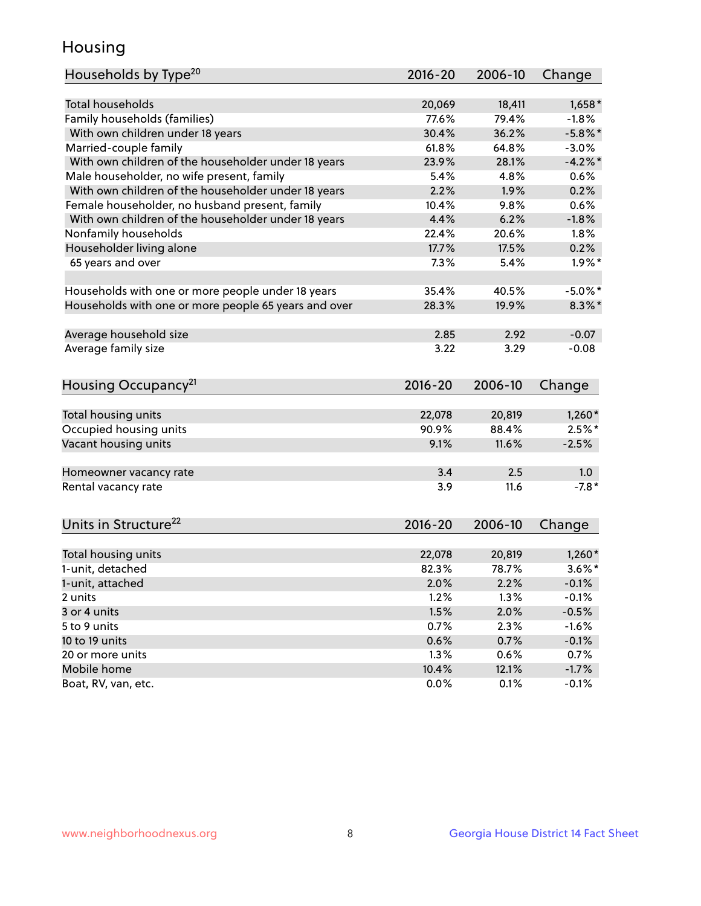## Housing

| Households by Type <sup>20</sup>                     | 2016-20 | 2006-10 | Change     |
|------------------------------------------------------|---------|---------|------------|
|                                                      |         |         |            |
| <b>Total households</b>                              | 20,069  | 18,411  | $1,658*$   |
| Family households (families)                         | 77.6%   | 79.4%   | $-1.8%$    |
| With own children under 18 years                     | 30.4%   | 36.2%   | $-5.8\%$ * |
| Married-couple family                                | 61.8%   | 64.8%   | $-3.0%$    |
| With own children of the householder under 18 years  | 23.9%   | 28.1%   | $-4.2%$    |
| Male householder, no wife present, family            | 5.4%    | 4.8%    | 0.6%       |
| With own children of the householder under 18 years  | 2.2%    | 1.9%    | 0.2%       |
| Female householder, no husband present, family       | 10.4%   | 9.8%    | 0.6%       |
| With own children of the householder under 18 years  | 4.4%    | 6.2%    | $-1.8%$    |
| Nonfamily households                                 | 22.4%   | 20.6%   | 1.8%       |
| Householder living alone                             | 17.7%   | 17.5%   | 0.2%       |
| 65 years and over                                    | 7.3%    | 5.4%    | $1.9\%$ *  |
|                                                      |         |         |            |
| Households with one or more people under 18 years    | 35.4%   | 40.5%   | $-5.0\%$ * |
| Households with one or more people 65 years and over | 28.3%   | 19.9%   | $8.3\%$ *  |
|                                                      |         |         |            |
| Average household size                               | 2.85    | 2.92    | $-0.07$    |
| Average family size                                  | 3.22    | 3.29    | $-0.08$    |
|                                                      |         |         |            |
| Housing Occupancy <sup>21</sup>                      | 2016-20 | 2006-10 | Change     |
|                                                      |         |         |            |
| Total housing units                                  | 22,078  | 20,819  | $1,260*$   |
| Occupied housing units                               | 90.9%   | 88.4%   | $2.5%$ *   |
| Vacant housing units                                 | 9.1%    | 11.6%   | $-2.5%$    |
|                                                      |         |         |            |
| Homeowner vacancy rate                               | 3.4     | 2.5     | 1.0        |
| Rental vacancy rate                                  | 3.9     | 11.6    | $-7.8*$    |
|                                                      |         |         |            |
| Units in Structure <sup>22</sup>                     | 2016-20 | 2006-10 | Change     |
|                                                      |         |         |            |
| Total housing units                                  | 22,078  | 20,819  | $1,260*$   |
| 1-unit, detached                                     | 82.3%   | 78.7%   | $3.6\%$ *  |
| 1-unit, attached                                     | 2.0%    | 2.2%    | $-0.1%$    |
| 2 units                                              | 1.2%    | 1.3%    | $-0.1%$    |
| 3 or 4 units                                         | 1.5%    | 2.0%    | $-0.5%$    |
| 5 to 9 units                                         | 0.7%    | 2.3%    | $-1.6%$    |
| 10 to 19 units                                       | 0.6%    | 0.7%    | $-0.1%$    |
| 20 or more units                                     | 1.3%    | 0.6%    | 0.7%       |
| Mobile home                                          | 10.4%   | 12.1%   | $-1.7%$    |
| Boat, RV, van, etc.                                  | 0.0%    | 0.1%    | $-0.1%$    |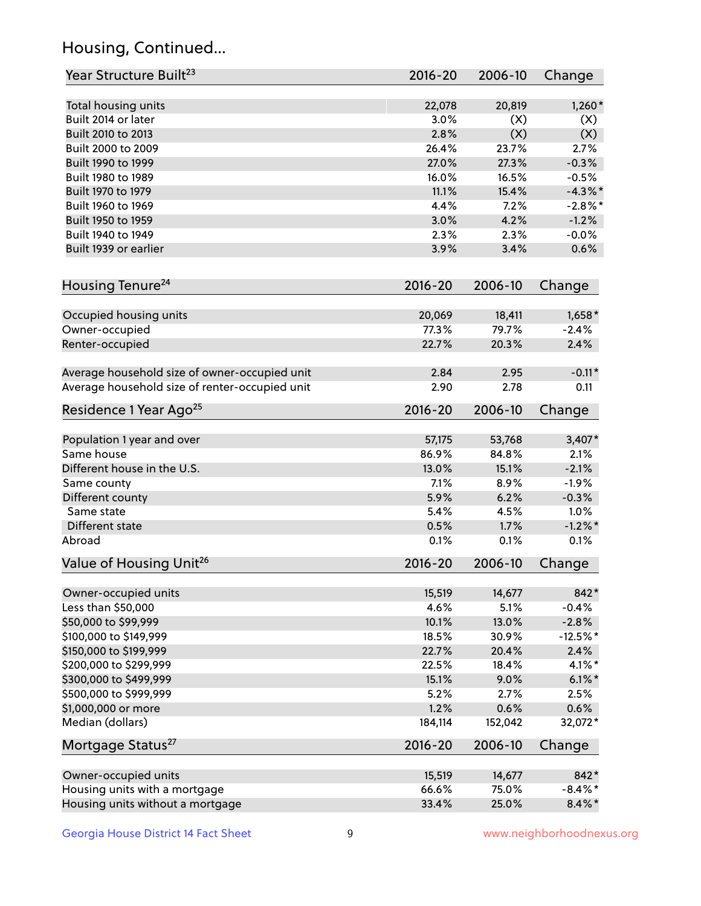## Housing, Continued...

| Year Structure Built <sup>23</sup>             | 2016-20     | 2006-10 | Change     |
|------------------------------------------------|-------------|---------|------------|
| Total housing units                            | 22,078      | 20,819  | $1,260*$   |
| Built 2014 or later                            | 3.0%        | (X)     | (X)        |
| Built 2010 to 2013                             | 2.8%        | (X)     | (X)        |
| Built 2000 to 2009                             | 26.4%       | 23.7%   | 2.7%       |
| Built 1990 to 1999                             | 27.0%       | 27.3%   | $-0.3%$    |
| Built 1980 to 1989                             | 16.0%       | 16.5%   | $-0.5%$    |
| Built 1970 to 1979                             | 11.1%       | 15.4%   | $-4.3\%$ * |
| Built 1960 to 1969                             | 4.4%        | 7.2%    | $-2.8\%$ * |
| Built 1950 to 1959                             | 3.0%        | 4.2%    | $-1.2%$    |
| Built 1940 to 1949                             | 2.3%        | 2.3%    | $-0.0%$    |
| Built 1939 or earlier                          | 3.9%        | 3.4%    | 0.6%       |
| Housing Tenure <sup>24</sup>                   | $2016 - 20$ | 2006-10 | Change     |
| Occupied housing units                         | 20,069      | 18,411  | $1,658*$   |
| Owner-occupied                                 | 77.3%       | 79.7%   | $-2.4%$    |
| Renter-occupied                                | 22.7%       | 20.3%   | 2.4%       |
| Average household size of owner-occupied unit  | 2.84        | 2.95    | $-0.11*$   |
| Average household size of renter-occupied unit | 2.90        | 2.78    | 0.11       |
| Residence 1 Year Ago <sup>25</sup>             | $2016 - 20$ | 2006-10 | Change     |
| Population 1 year and over                     | 57,175      | 53,768  | $3,407*$   |
| Same house                                     | 86.9%       | 84.8%   | 2.1%       |
| Different house in the U.S.                    | 13.0%       | 15.1%   | $-2.1%$    |
| Same county                                    | 7.1%        | 8.9%    | $-1.9%$    |
| Different county                               | 5.9%        | 6.2%    | $-0.3%$    |
| Same state                                     | 5.4%        | 4.5%    | 1.0%       |
| Different state                                | 0.5%        | 1.7%    | $-1.2\%$ * |
| Abroad                                         | 0.1%        | 0.1%    | 0.1%       |
| Value of Housing Unit <sup>26</sup>            | $2016 - 20$ | 2006-10 | Change     |
| Owner-occupied units                           | 15,519      | 14,677  | 842*       |
| Less than \$50,000                             | 4.6%        | 5.1%    | $-0.4%$    |
| \$50,000 to \$99,999                           | 10.1%       | 13.0%   | $-2.8%$    |
| \$100,000 to \$149,999                         | 18.5%       | 30.9%   | $-12.5%$ * |
| \$150,000 to \$199,999                         | 22.7%       | 20.4%   | 2.4%       |
| \$200,000 to \$299,999                         | 22.5%       | 18.4%   | $4.1\%$ *  |
| \$300,000 to \$499,999                         | 15.1%       | 9.0%    | $6.1\%$ *  |
| \$500,000 to \$999,999                         | 5.2%        | 2.7%    | 2.5%       |
| \$1,000,000 or more                            | 1.2%        | 0.6%    | 0.6%       |
| Median (dollars)                               | 184,114     | 152,042 | 32,072*    |
| Mortgage Status <sup>27</sup>                  | $2016 - 20$ | 2006-10 | Change     |
| Owner-occupied units                           | 15,519      | 14,677  | 842*       |
| Housing units with a mortgage                  | 66.6%       | 75.0%   | $-8.4\%$ * |
| Housing units without a mortgage               | 33.4%       | 25.0%   | $8.4\% *$  |
|                                                |             |         |            |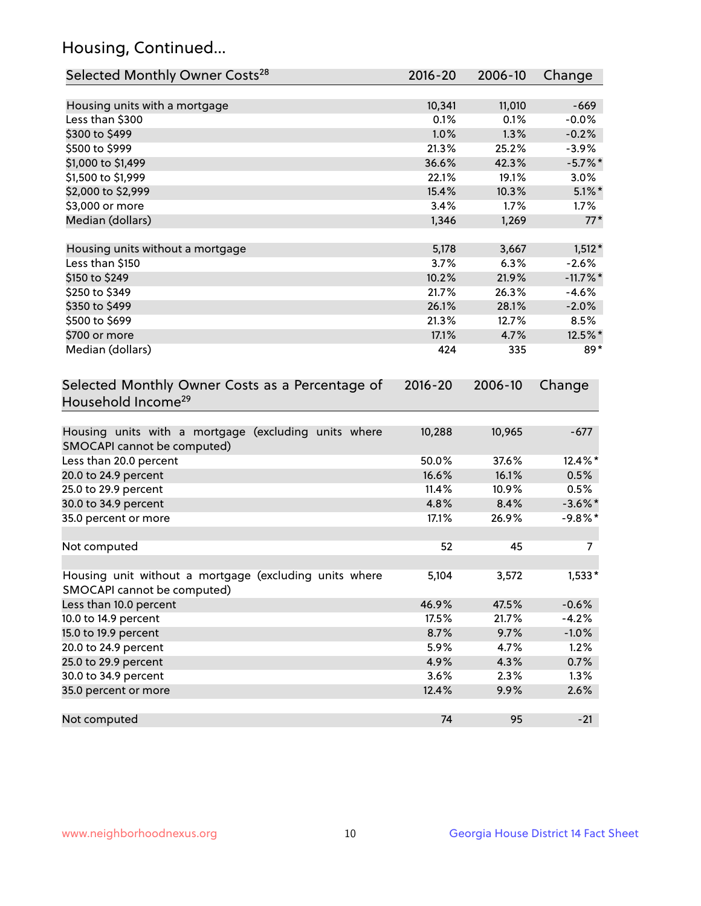## Housing, Continued...

| Selected Monthly Owner Costs <sup>28</sup>                                            | $2016 - 20$ | 2006-10 | Change      |
|---------------------------------------------------------------------------------------|-------------|---------|-------------|
| Housing units with a mortgage                                                         | 10,341      | 11,010  | $-669$      |
| Less than \$300                                                                       | 0.1%        | 0.1%    | $-0.0%$     |
| \$300 to \$499                                                                        | 1.0%        | 1.3%    | $-0.2%$     |
| \$500 to \$999                                                                        | 21.3%       | 25.2%   | $-3.9%$     |
| \$1,000 to \$1,499                                                                    | 36.6%       | 42.3%   | $-5.7\%$ *  |
| \$1,500 to \$1,999                                                                    | 22.1%       | 19.1%   | 3.0%        |
| \$2,000 to \$2,999                                                                    | 15.4%       | 10.3%   | $5.1\%$ *   |
| \$3,000 or more                                                                       | 3.4%        | 1.7%    | 1.7%        |
| Median (dollars)                                                                      | 1,346       | 1,269   | $77*$       |
| Housing units without a mortgage                                                      | 5,178       | 3,667   | $1,512*$    |
| Less than \$150                                                                       | 3.7%        | 6.3%    | $-2.6%$     |
| \$150 to \$249                                                                        | 10.2%       | 21.9%   | $-11.7\%$ * |
| \$250 to \$349                                                                        | 21.7%       | 26.3%   | $-4.6%$     |
| \$350 to \$499                                                                        | 26.1%       | 28.1%   | $-2.0%$     |
| \$500 to \$699                                                                        | 21.3%       | 12.7%   | 8.5%        |
| \$700 or more                                                                         | 17.1%       | 4.7%    | 12.5%*      |
| Median (dollars)                                                                      | 424         | 335     | $89*$       |
| Selected Monthly Owner Costs as a Percentage of<br>Household Income <sup>29</sup>     | $2016 - 20$ | 2006-10 | Change      |
| Housing units with a mortgage (excluding units where<br>SMOCAPI cannot be computed)   | 10,288      | 10,965  | $-677$      |
| Less than 20.0 percent                                                                | 50.0%       | 37.6%   | 12.4%*      |
| 20.0 to 24.9 percent                                                                  | 16.6%       | 16.1%   | 0.5%        |
| 25.0 to 29.9 percent                                                                  | 11.4%       | 10.9%   | 0.5%        |
| 30.0 to 34.9 percent                                                                  | 4.8%        | 8.4%    | $-3.6\%$ *  |
| 35.0 percent or more                                                                  | 17.1%       | 26.9%   | $-9.8\%$ *  |
| Not computed                                                                          | 52          | 45      | 7           |
| Housing unit without a mortgage (excluding units where<br>SMOCAPI cannot be computed) | 5,104       | 3,572   | $1,533*$    |
| Less than 10.0 percent                                                                | 46.9%       | 47.5%   | $-0.6%$     |
| 10.0 to 14.9 percent                                                                  | 17.5%       | 21.7%   | $-4.2%$     |
| 15.0 to 19.9 percent                                                                  | 8.7%        | 9.7%    | $-1.0%$     |
| 20.0 to 24.9 percent                                                                  | 5.9%        | 4.7%    | 1.2%        |
| 25.0 to 29.9 percent                                                                  | 4.9%        | 4.3%    | 0.7%        |
| 30.0 to 34.9 percent                                                                  | 3.6%        | 2.3%    | 1.3%        |
| 35.0 percent or more                                                                  | 12.4%       | 9.9%    | 2.6%        |
| Not computed                                                                          | 74          | 95      | $-21$       |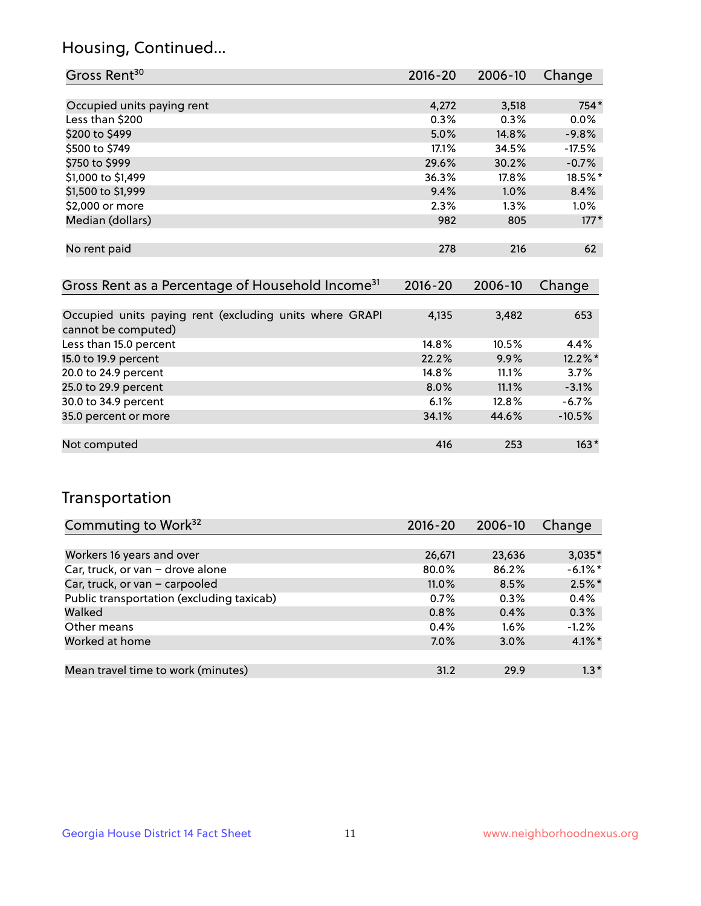### Housing, Continued...

| Gross Rent <sup>30</sup>   | 2016-20 | 2006-10 | Change   |
|----------------------------|---------|---------|----------|
|                            |         |         |          |
| Occupied units paying rent | 4,272   | 3,518   | 754*     |
| Less than \$200            | 0.3%    | 0.3%    | 0.0%     |
| \$200 to \$499             | 5.0%    | 14.8%   | $-9.8%$  |
| \$500 to \$749             | 17.1%   | 34.5%   | $-17.5%$ |
| \$750 to \$999             | 29.6%   | 30.2%   | $-0.7%$  |
| \$1,000 to \$1,499         | 36.3%   | 17.8%   | 18.5%*   |
| \$1,500 to \$1,999         | 9.4%    | 1.0%    | 8.4%     |
| \$2,000 or more            | 2.3%    | $1.3\%$ | $1.0\%$  |
| Median (dollars)           | 982     | 805     | $177*$   |
|                            |         |         |          |
| No rent paid               | 278     | 216     | 62       |
|                            |         |         |          |

| Gross Rent as a Percentage of Household Income <sup>31</sup>                   | $2016 - 20$ | 2006-10 | Change   |
|--------------------------------------------------------------------------------|-------------|---------|----------|
|                                                                                |             |         |          |
| Occupied units paying rent (excluding units where GRAPI<br>cannot be computed) | 4,135       | 3,482   | 653      |
| Less than 15.0 percent                                                         | 14.8%       | 10.5%   | 4.4%     |
| 15.0 to 19.9 percent                                                           | 22.2%       | 9.9%    | 12.2%*   |
| 20.0 to 24.9 percent                                                           | 14.8%       | 11.1%   | 3.7%     |
| 25.0 to 29.9 percent                                                           | 8.0%        | 11.1%   | $-3.1%$  |
| 30.0 to 34.9 percent                                                           | 6.1%        | 12.8%   | $-6.7%$  |
| 35.0 percent or more                                                           | 34.1%       | 44.6%   | $-10.5%$ |
|                                                                                |             |         |          |
| Not computed                                                                   | 416         | 253     | $163*$   |

## Transportation

| Commuting to Work <sup>32</sup>           | 2016-20  | 2006-10 | Change     |
|-------------------------------------------|----------|---------|------------|
|                                           |          |         |            |
| Workers 16 years and over                 | 26,671   | 23,636  | $3,035*$   |
| Car, truck, or van - drove alone          | 80.0%    | 86.2%   | $-6.1\%$ * |
| Car, truck, or van - carpooled            | $11.0\%$ | 8.5%    | $2.5\%$ *  |
| Public transportation (excluding taxicab) | 0.7%     | $0.3\%$ | 0.4%       |
| Walked                                    | 0.8%     | 0.4%    | 0.3%       |
| Other means                               | 0.4%     | 1.6%    | $-1.2%$    |
| Worked at home                            | 7.0%     | 3.0%    | $4.1\%$ *  |
|                                           |          |         |            |
| Mean travel time to work (minutes)        | 31.2     | 29.9    | $1.3*$     |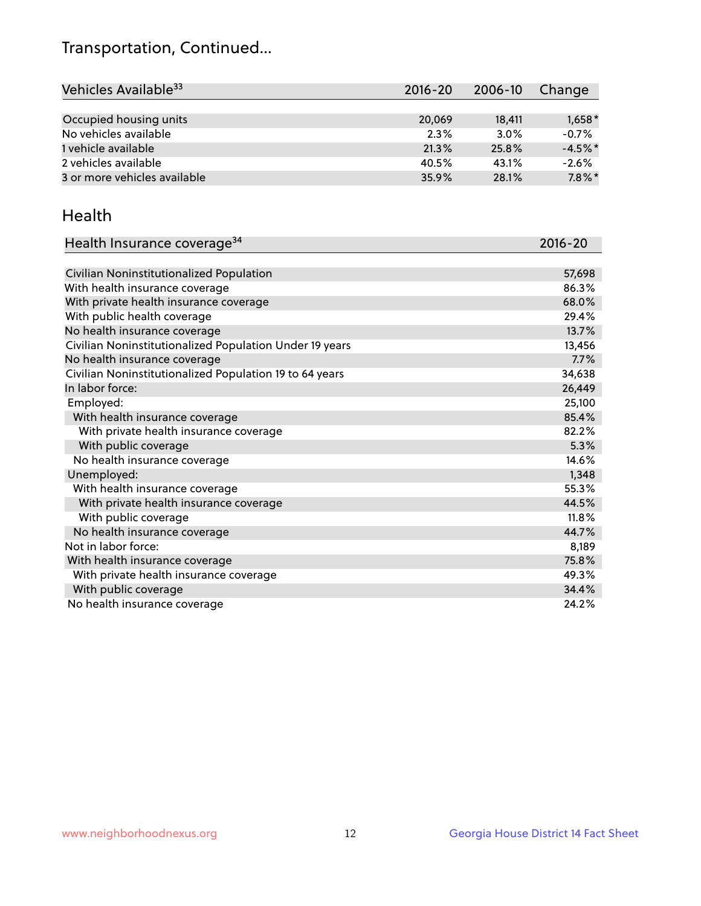## Transportation, Continued...

| Vehicles Available <sup>33</sup> | $2016 - 20$ | 2006-10 | Change    |
|----------------------------------|-------------|---------|-----------|
|                                  |             |         |           |
| Occupied housing units           | 20,069      | 18,411  | $1,658*$  |
| No vehicles available            | 2.3%        | 3.0%    | $-0.7%$   |
| 1 vehicle available              | 21.3%       | 25.8%   | $-4.5%$ * |
| 2 vehicles available             | 40.5%       | 43.1%   | $-2.6%$   |
| 3 or more vehicles available     | 35.9%       | 28.1%   | $7.8\%$ * |

#### Health

| Health Insurance coverage <sup>34</sup>                 | 2016-20 |
|---------------------------------------------------------|---------|
|                                                         |         |
| Civilian Noninstitutionalized Population                | 57,698  |
| With health insurance coverage                          | 86.3%   |
| With private health insurance coverage                  | 68.0%   |
| With public health coverage                             | 29.4%   |
| No health insurance coverage                            | 13.7%   |
| Civilian Noninstitutionalized Population Under 19 years | 13,456  |
| No health insurance coverage                            | 7.7%    |
| Civilian Noninstitutionalized Population 19 to 64 years | 34,638  |
| In labor force:                                         | 26,449  |
| Employed:                                               | 25,100  |
| With health insurance coverage                          | 85.4%   |
| With private health insurance coverage                  | 82.2%   |
| With public coverage                                    | 5.3%    |
| No health insurance coverage                            | 14.6%   |
| Unemployed:                                             | 1,348   |
| With health insurance coverage                          | 55.3%   |
| With private health insurance coverage                  | 44.5%   |
| With public coverage                                    | 11.8%   |
| No health insurance coverage                            | 44.7%   |
| Not in labor force:                                     | 8,189   |
| With health insurance coverage                          | 75.8%   |
| With private health insurance coverage                  | 49.3%   |
| With public coverage                                    | 34.4%   |
| No health insurance coverage                            | 24.2%   |